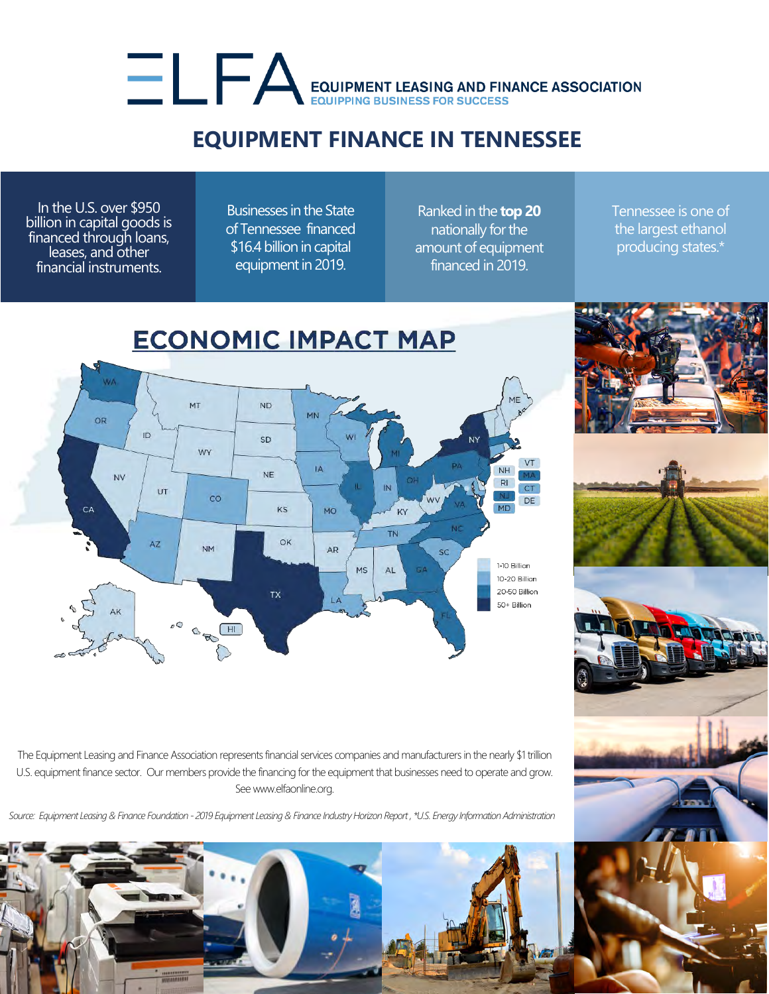## EQUIPMENT LEASING AND FINANCE ASSOCIATION

## **EQUIPMENT FINANCE IN TENNESSEE**

In the U.S. over \$950 billion in capital goods is financed through loans, leases, and other financial instruments.

Businesses in the State of Tennessee financed \$16.4 billion in capital equipment in 2019.

Ranked in the **top 20** nationally for the amount of equipment financed in 2019.

Tennessee is one of the largest ethanol producing states.\*



The Equipment Leasing and Finance Association represents financial services companies and manufacturers in the nearly \$1 trillion U.S. equipment finance sector. Our members provide the financing for the equipment that businesses need to operate and grow. See www.elfaonline.org.

*Source: Equipment Leasing & Finance Foundation - 2019 Equipment Leasing & Finance Industry Horizon Report , \*U.S. Energy Information Administration*